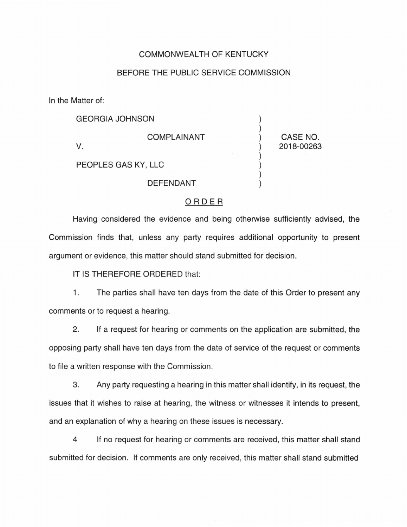## COMMONWEALTH OF KENTUCKY

## BEFORE THE PUBLIC SERVICE COMMISSION

In the Matter of:

| <b>GEORGIA JOHNSON</b> |                    |                        |
|------------------------|--------------------|------------------------|
|                        | <b>COMPLAINANT</b> | CASE NO.<br>2018-00263 |
| PEOPLES GAS KY, LLC    |                    |                        |
|                        | <b>DEFENDANT</b>   |                        |

## ORDER

Having considered the evidence and being otherwise sufficiently advised, the Commission finds that, unless any party requires additional opportunity to present argument or evidence, this matter should stand submitted for decision.

IT IS THEREFORE ORDERED that:

1. The parties shall have ten days from the date of this Order to present any comments or to request a hearing.

2. If a request for hearing or comments on the application are submitted, the opposing party shall have ten days from the date of service of the request or comments to file a written response with the Commission.

3. Any party requesting a hearing in this matter shall identify, in its request, the issues that it wishes to raise at hearing, the witness or witnesses it intends to present, and an explanation of why a hearing on these issues is necessary.

4 If no request for hearing or comments are received, this matter shall stand submitted for decision. If comments are only received, this matter shall stand submitted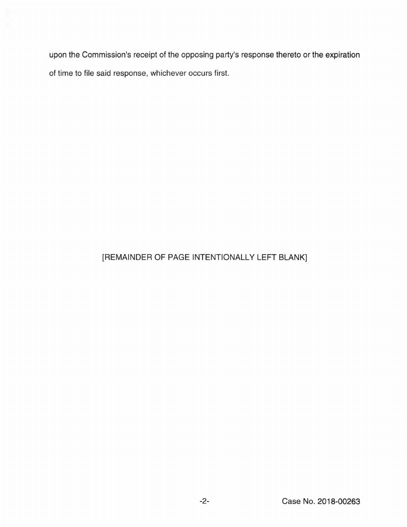upon the Commission's receipt of the opposing party's response thereto or the expiration of time to file said response, whichever occurs first.

## [REMAINDER OF PAGE INTENTIONALLY LEFT BLANK]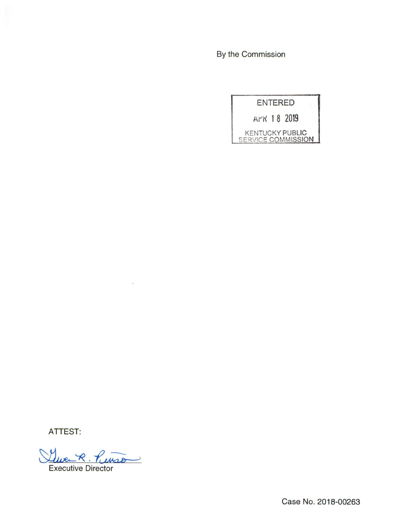By the Commission



ATTEST:

<u>Luve R. Punso</u>

Case No. 2018-00263